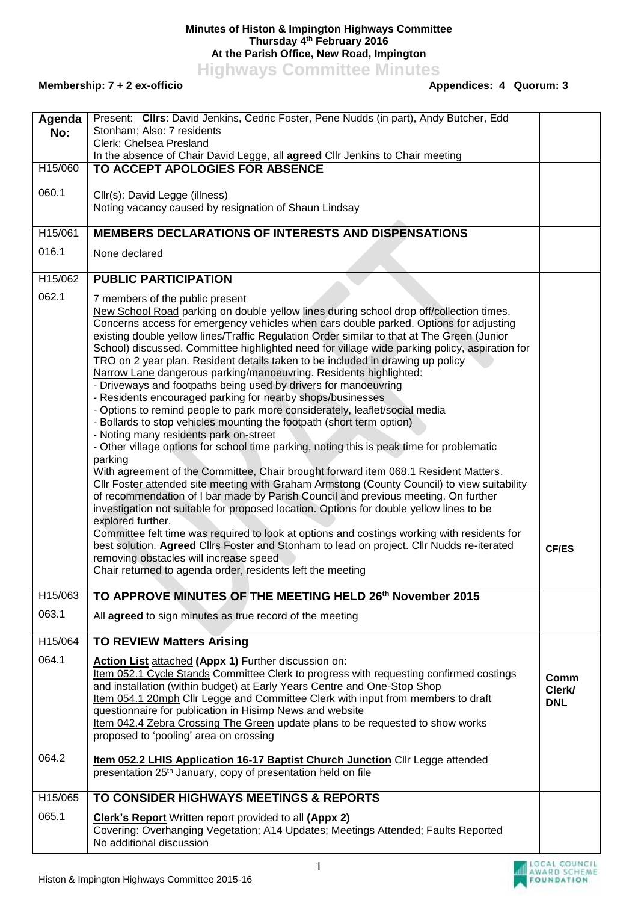## **Minutes of Histon & Impington Highways Committee Thursday 4 th February 2016 At the Parish Office, New Road, Impington**

**Highways Committee Minutes**

**Membership: 7 + 2 ex-officio** 

| Agenda<br>No: | Present: Clirs: David Jenkins, Cedric Foster, Pene Nudds (in part), Andy Butcher, Edd<br>Stonham; Also: 7 residents                                                                                                                                                                                                                                                                                                                                                                                                                                                                                                                                                                                                                                                                                                                                                                                                                                                                                                                                                                                                                                                                                                                                                                                                                                                                                                                                                                                                                                                                                                                                                                                                  |                              |
|---------------|----------------------------------------------------------------------------------------------------------------------------------------------------------------------------------------------------------------------------------------------------------------------------------------------------------------------------------------------------------------------------------------------------------------------------------------------------------------------------------------------------------------------------------------------------------------------------------------------------------------------------------------------------------------------------------------------------------------------------------------------------------------------------------------------------------------------------------------------------------------------------------------------------------------------------------------------------------------------------------------------------------------------------------------------------------------------------------------------------------------------------------------------------------------------------------------------------------------------------------------------------------------------------------------------------------------------------------------------------------------------------------------------------------------------------------------------------------------------------------------------------------------------------------------------------------------------------------------------------------------------------------------------------------------------------------------------------------------------|------------------------------|
|               | Clerk: Chelsea Presland<br>In the absence of Chair David Legge, all agreed Cllr Jenkins to Chair meeting                                                                                                                                                                                                                                                                                                                                                                                                                                                                                                                                                                                                                                                                                                                                                                                                                                                                                                                                                                                                                                                                                                                                                                                                                                                                                                                                                                                                                                                                                                                                                                                                             |                              |
| H15/060       | TO ACCEPT APOLOGIES FOR ABSENCE                                                                                                                                                                                                                                                                                                                                                                                                                                                                                                                                                                                                                                                                                                                                                                                                                                                                                                                                                                                                                                                                                                                                                                                                                                                                                                                                                                                                                                                                                                                                                                                                                                                                                      |                              |
| 060.1         | Cllr(s): David Legge (illness)<br>Noting vacancy caused by resignation of Shaun Lindsay                                                                                                                                                                                                                                                                                                                                                                                                                                                                                                                                                                                                                                                                                                                                                                                                                                                                                                                                                                                                                                                                                                                                                                                                                                                                                                                                                                                                                                                                                                                                                                                                                              |                              |
| H15/061       | <b>MEMBERS DECLARATIONS OF INTERESTS AND DISPENSATIONS</b>                                                                                                                                                                                                                                                                                                                                                                                                                                                                                                                                                                                                                                                                                                                                                                                                                                                                                                                                                                                                                                                                                                                                                                                                                                                                                                                                                                                                                                                                                                                                                                                                                                                           |                              |
| 016.1         | None declared                                                                                                                                                                                                                                                                                                                                                                                                                                                                                                                                                                                                                                                                                                                                                                                                                                                                                                                                                                                                                                                                                                                                                                                                                                                                                                                                                                                                                                                                                                                                                                                                                                                                                                        |                              |
| H15/062       | <b>PUBLIC PARTICIPATION</b>                                                                                                                                                                                                                                                                                                                                                                                                                                                                                                                                                                                                                                                                                                                                                                                                                                                                                                                                                                                                                                                                                                                                                                                                                                                                                                                                                                                                                                                                                                                                                                                                                                                                                          |                              |
| 062.1         | 7 members of the public present<br>New School Road parking on double yellow lines during school drop off/collection times.<br>Concerns access for emergency vehicles when cars double parked. Options for adjusting<br>existing double yellow lines/Traffic Regulation Order similar to that at The Green (Junior<br>School) discussed. Committee highlighted need for village wide parking policy, aspiration for<br>TRO on 2 year plan. Resident details taken to be included in drawing up policy<br>Narrow Lane dangerous parking/manoeuvring. Residents highlighted:<br>- Driveways and footpaths being used by drivers for manoeuvring<br>- Residents encouraged parking for nearby shops/businesses<br>- Options to remind people to park more considerately, leaflet/social media<br>- Bollards to stop vehicles mounting the footpath (short term option)<br>- Noting many residents park on-street<br>- Other village options for school time parking, noting this is peak time for problematic<br>parking<br>With agreement of the Committee, Chair brought forward item 068.1 Resident Matters.<br>CIIr Foster attended site meeting with Graham Armstong (County Council) to view suitability<br>of recommendation of I bar made by Parish Council and previous meeting. On further<br>investigation not suitable for proposed location. Options for double yellow lines to be<br>explored further.<br>Committee felt time was required to look at options and costings working with residents for<br>best solution. Agreed Clirs Foster and Stonham to lead on project. Clir Nudds re-iterated<br>removing obstacles will increase speed<br>Chair returned to agenda order, residents left the meeting | <b>CF/ES</b>                 |
| H15/063       | TO APPROVE MINUTES OF THE MEETING HELD 26 <sup>th</sup> November 2015                                                                                                                                                                                                                                                                                                                                                                                                                                                                                                                                                                                                                                                                                                                                                                                                                                                                                                                                                                                                                                                                                                                                                                                                                                                                                                                                                                                                                                                                                                                                                                                                                                                |                              |
| 063.1         | All agreed to sign minutes as true record of the meeting                                                                                                                                                                                                                                                                                                                                                                                                                                                                                                                                                                                                                                                                                                                                                                                                                                                                                                                                                                                                                                                                                                                                                                                                                                                                                                                                                                                                                                                                                                                                                                                                                                                             |                              |
| H15/064       | <b>TO REVIEW Matters Arising</b>                                                                                                                                                                                                                                                                                                                                                                                                                                                                                                                                                                                                                                                                                                                                                                                                                                                                                                                                                                                                                                                                                                                                                                                                                                                                                                                                                                                                                                                                                                                                                                                                                                                                                     |                              |
| 064.1         | Action List attached (Appx 1) Further discussion on:<br>Item 052.1 Cycle Stands Committee Clerk to progress with requesting confirmed costings<br>and installation (within budget) at Early Years Centre and One-Stop Shop<br>Item 054.1 20mph Cllr Legge and Committee Clerk with input from members to draft<br>questionnaire for publication in Hisimp News and website<br>Item 042.4 Zebra Crossing The Green update plans to be requested to show works<br>proposed to 'pooling' area on crossing                                                                                                                                                                                                                                                                                                                                                                                                                                                                                                                                                                                                                                                                                                                                                                                                                                                                                                                                                                                                                                                                                                                                                                                                               | Comm<br>Clerk/<br><b>DNL</b> |
| 064.2         | <b>Item 052.2 LHIS Application 16-17 Baptist Church Junction Cllr Legge attended</b><br>presentation 25 <sup>th</sup> January, copy of presentation held on file                                                                                                                                                                                                                                                                                                                                                                                                                                                                                                                                                                                                                                                                                                                                                                                                                                                                                                                                                                                                                                                                                                                                                                                                                                                                                                                                                                                                                                                                                                                                                     |                              |
| H15/065       | TO CONSIDER HIGHWAYS MEETINGS & REPORTS                                                                                                                                                                                                                                                                                                                                                                                                                                                                                                                                                                                                                                                                                                                                                                                                                                                                                                                                                                                                                                                                                                                                                                                                                                                                                                                                                                                                                                                                                                                                                                                                                                                                              |                              |
| 065.1         | <b>Clerk's Report</b> Written report provided to all (Appx 2)<br>Covering: Overhanging Vegetation; A14 Updates; Meetings Attended; Faults Reported<br>No additional discussion                                                                                                                                                                                                                                                                                                                                                                                                                                                                                                                                                                                                                                                                                                                                                                                                                                                                                                                                                                                                                                                                                                                                                                                                                                                                                                                                                                                                                                                                                                                                       |                              |

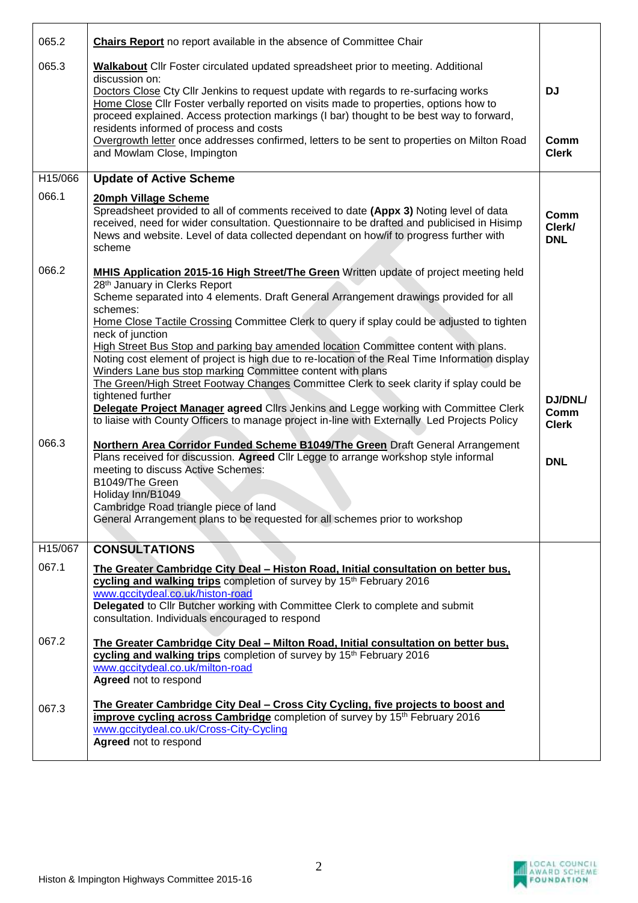| 065.2   | <b>Chairs Report</b> no report available in the absence of Committee Chair                                                                                                                                                                                                                                                                                                                                                                                                                                                                                                                                                                                                                                                                                                                                                                                                                                   |                                        |
|---------|--------------------------------------------------------------------------------------------------------------------------------------------------------------------------------------------------------------------------------------------------------------------------------------------------------------------------------------------------------------------------------------------------------------------------------------------------------------------------------------------------------------------------------------------------------------------------------------------------------------------------------------------------------------------------------------------------------------------------------------------------------------------------------------------------------------------------------------------------------------------------------------------------------------|----------------------------------------|
| 065.3   | <b>Walkabout</b> Cllr Foster circulated updated spreadsheet prior to meeting. Additional<br>discussion on:<br>Doctors Close Cty Cllr Jenkins to request update with regards to re-surfacing works<br>Home Close ClIr Foster verbally reported on visits made to properties, options how to<br>proceed explained. Access protection markings (I bar) thought to be best way to forward,<br>residents informed of process and costs                                                                                                                                                                                                                                                                                                                                                                                                                                                                            | <b>DJ</b>                              |
|         | Overgrowth letter once addresses confirmed, letters to be sent to properties on Milton Road<br>and Mowlam Close, Impington                                                                                                                                                                                                                                                                                                                                                                                                                                                                                                                                                                                                                                                                                                                                                                                   | Comm<br><b>Clerk</b>                   |
| H15/066 | <b>Update of Active Scheme</b>                                                                                                                                                                                                                                                                                                                                                                                                                                                                                                                                                                                                                                                                                                                                                                                                                                                                               |                                        |
| 066.1   | 20mph Village Scheme<br>Spreadsheet provided to all of comments received to date (Appx 3) Noting level of data<br>received, need for wider consultation. Questionnaire to be drafted and publicised in Hisimp<br>News and website. Level of data collected dependant on how/if to progress further with<br>scheme                                                                                                                                                                                                                                                                                                                                                                                                                                                                                                                                                                                            | Comm<br>Clerk/<br><b>DNL</b>           |
| 066.2   | MHIS Application 2015-16 High Street/The Green Written update of project meeting held<br>28th January in Clerks Report<br>Scheme separated into 4 elements. Draft General Arrangement drawings provided for all<br>schemes:<br>Home Close Tactile Crossing Committee Clerk to query if splay could be adjusted to tighten<br>neck of junction<br>High Street Bus Stop and parking bay amended location Committee content with plans.<br>Noting cost element of project is high due to re-location of the Real Time Information display<br>Winders Lane bus stop marking Committee content with plans<br>The Green/High Street Footway Changes Committee Clerk to seek clarity if splay could be<br>tightened further<br>Delegate Project Manager agreed Clirs Jenkins and Legge working with Committee Clerk<br>to liaise with County Officers to manage project in-line with Externally Led Projects Policy | <b>DJ/DNL/</b><br>Comm<br><b>Clerk</b> |
| 066.3   | Northern Area Corridor Funded Scheme B1049/The Green Draft General Arrangement<br>Plans received for discussion. Agreed Cllr Legge to arrange workshop style informal<br>meeting to discuss Active Schemes:<br>B1049/The Green<br>Holiday Inn/B1049<br>Cambridge Road triangle piece of land<br>General Arrangement plans to be requested for all schemes prior to workshop                                                                                                                                                                                                                                                                                                                                                                                                                                                                                                                                  | <b>DNL</b>                             |
| H15/067 | <b>CONSULTATIONS</b>                                                                                                                                                                                                                                                                                                                                                                                                                                                                                                                                                                                                                                                                                                                                                                                                                                                                                         |                                        |
| 067.1   | The Greater Cambridge City Deal - Histon Road, Initial consultation on better bus,<br>cycling and walking trips completion of survey by 15th February 2016<br>www.gccitydeal.co.uk/histon-road<br>Delegated to Cllr Butcher working with Committee Clerk to complete and submit<br>consultation. Individuals encouraged to respond                                                                                                                                                                                                                                                                                                                                                                                                                                                                                                                                                                           |                                        |
| 067.2   | The Greater Cambridge City Deal - Milton Road, Initial consultation on better bus,<br>cycling and walking trips completion of survey by 15th February 2016<br>www.gccitydeal.co.uk/milton-road<br>Agreed not to respond                                                                                                                                                                                                                                                                                                                                                                                                                                                                                                                                                                                                                                                                                      |                                        |
| 067.3   | <u>The Greater Cambridge City Deal – Cross City Cycling, five projects to boost and</u><br>improve cycling across Cambridge completion of survey by 15 <sup>th</sup> February 2016<br>www.gccitydeal.co.uk/Cross-City-Cycling<br>Agreed not to respond                                                                                                                                                                                                                                                                                                                                                                                                                                                                                                                                                                                                                                                       |                                        |